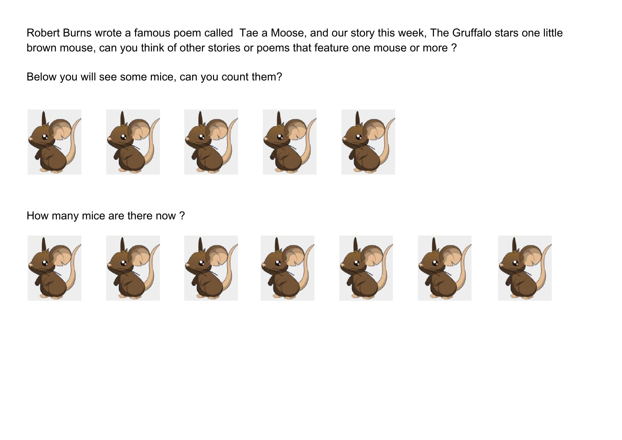Robert Burns wrote a famous poem called Tae a Moose, and our story this week, The Gruffalo stars one little brown mouse, can you think of other stories or poems that feature one mouse or more ?

Below you will see some mice, can you count them?









How many mice are there now ?

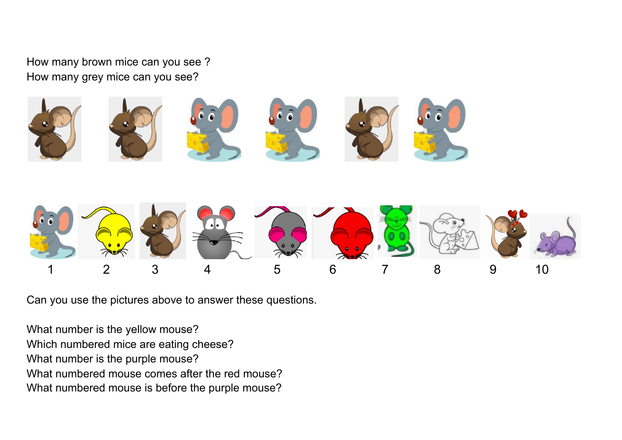How many brown mice can you see ? How many grey mice can you see?





Can you use the pictures above to answer these questions.

What number is the yellow mouse? Which numbered mice are eating cheese? What number is the purple mouse? What numbered mouse comes after the red mouse? What numbered mouse is before the purple mouse?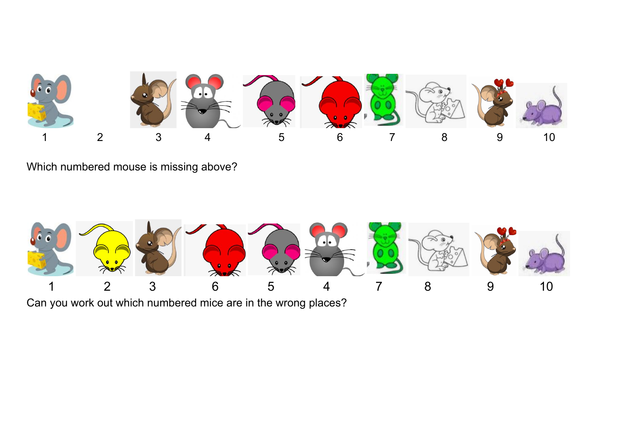

Which numbered mouse is missing above?



Can you work out which numbered mice are in the wrong places?